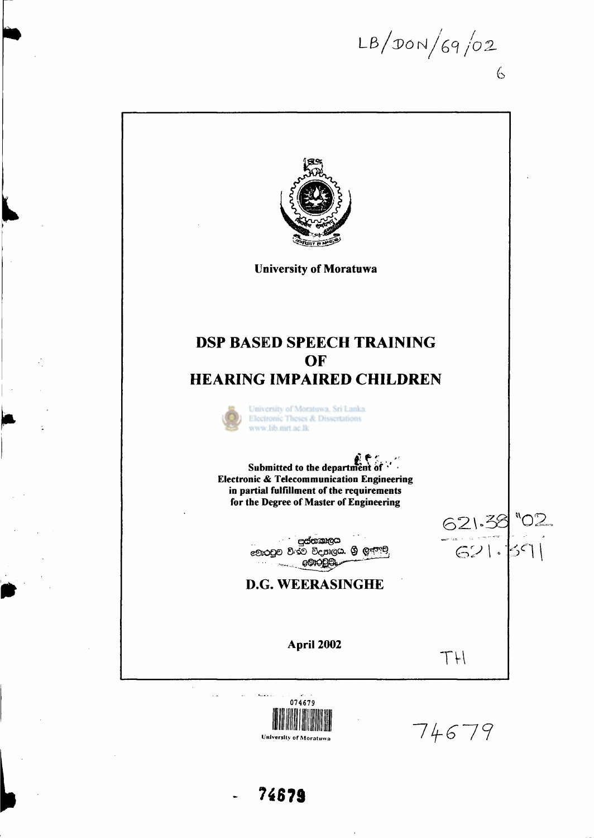$LB/DON/69/02$  $\zeta$ 



 $\ddot{\phantom{a}}$ 



74679

**University of Moratuwa 14679**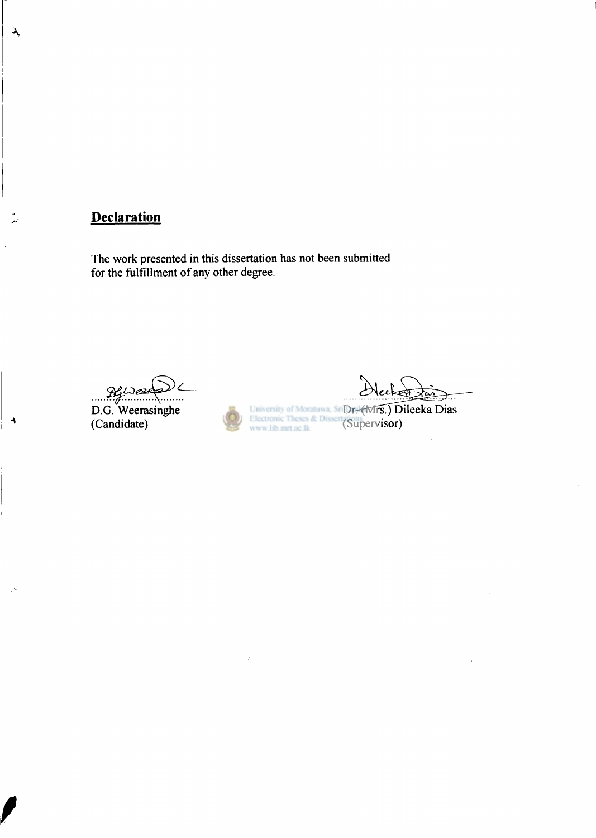## **Declaration**

 $\lambda$ 

The work presented in this dissertation has not been submitted for the fulfillment of any other degree.

*L3i* 

D.G. Weerasinghe (Candidate)

Dr<del>. (Mrs</del>.) Dileeka Dias (Supervisor)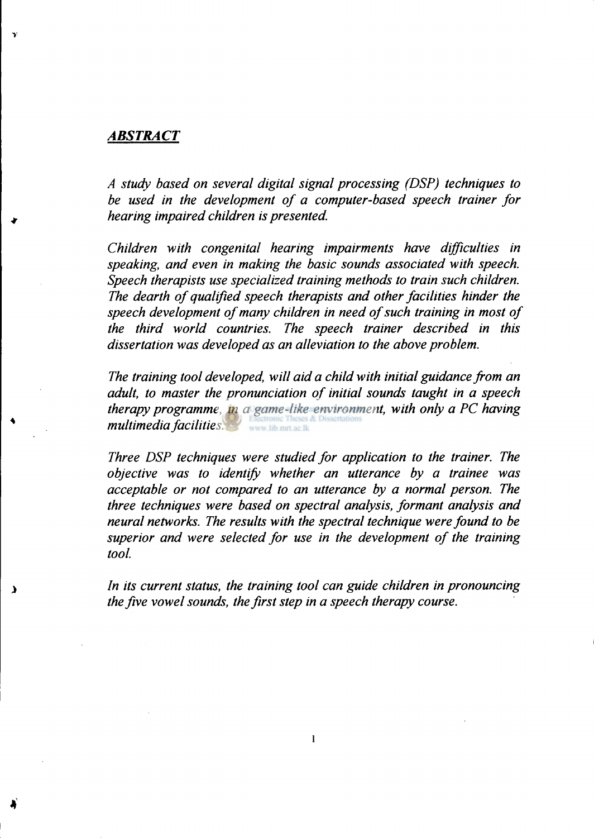### *ABSTRACT*

 $\Delta$ 

*A study based on several digital signal processing (DSP) techniques to be used in the development of a computer-based speech trainer for hearing impaired children is presented.* 

*Children with congenital hearing impairments have difficulties in speaking, and even in making the basic sounds associated with speech. Speech therapists use specialized training methods to train such children. The dearth of qualified speech therapists and other facilities hinder the speech development of many children in need of such training in most of the third world countries. The speech trainer described in this dissertation was developed as an alleviation to the above problem.* 

*The training tool developed, will aid a child with initial guidance from an adult, to master the pronunciation of initial sounds taught in a speech therapy programme, in a game-like environment, with only a PC having multimedia facilities.*  www.lib.mrt.ac.lk

*Three DSP techniques were studied for application to the trainer. The objective was to identify whether an utterance by a trainee was acceptable or not compared to an utterance by a normal person. The three techniques were based on spectral analysis, formant analysis and neural networks. The results with the spectral technique were found to be superior and were selected for use in the development of the training tool.* 

*In its current status, the training tool can guide children in pronouncing the five vowel sounds, the first step in a speech therapy course.* 

**i**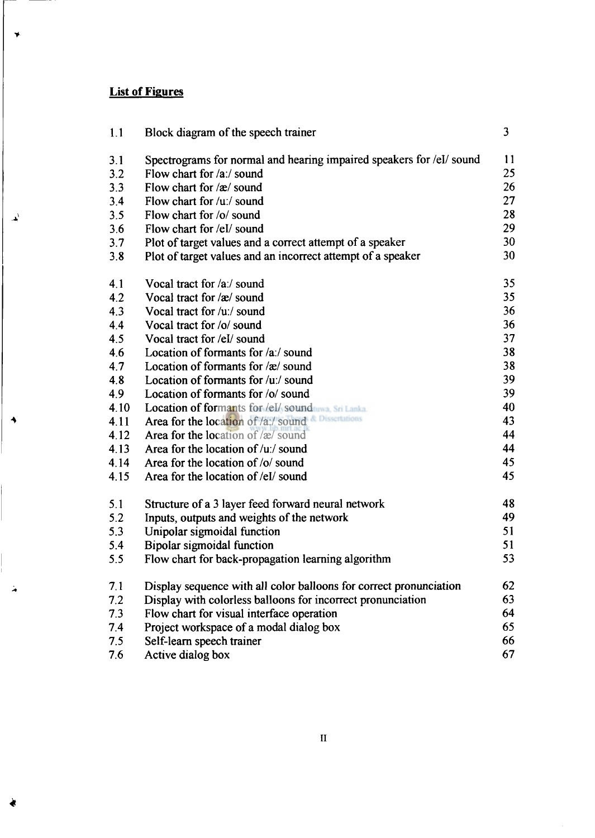## **List of Figures**

 $\rightarrow$ 

 $\Delta^{\rm V}$ 

 $\rightarrow$ 

 $\frac{1}{\sqrt{2}}$ 

*4* 

| 1.1  | Block diagram of the speech trainer                                  | 3               |
|------|----------------------------------------------------------------------|-----------------|
| 3.1  | Spectrograms for normal and hearing impaired speakers for /eI/ sound | 11              |
| 3.2  | Flow chart for /a:/ sound                                            | 25              |
| 3.3  | Flow chart for /æ/ sound                                             | 26              |
| 3.4  | Flow chart for /u:/ sound                                            | 27              |
| 3.5  | Flow chart for /o/ sound                                             | 28              |
| 3.6  | Flow chart for /el/ sound                                            | 29              |
| 3.7  | Plot of target values and a correct attempt of a speaker             | 30              |
| 3.8  | Plot of target values and an incorrect attempt of a speaker          | 30              |
| 4.1  | Vocal tract for /a:/ sound                                           | 35              |
| 4.2  | Vocal tract for /æ/ sound                                            | 35 <sub>1</sub> |
| 4.3  | Vocal tract for /u:/ sound                                           | 36              |
| 4.4  | Vocal tract for /o/ sound                                            | 36              |
| 4.5  | Vocal tract for /el/ sound                                           | 37              |
| 4.6  | Location of formants for /a:/ sound                                  | 38              |
| 4.7  | Location of formants for /æ/ sound                                   | 38              |
| 4.8  | Location of formants for /u:/ sound                                  | 39              |
| 4.9  | Location of formants for /o/ sound                                   | 39              |
| 4.10 | <b>Location of formants for /el/ sound was Sri Lanka</b>             | 40              |
| 4.11 | Area for the location of /a:/ sound                                  | 43              |
| 4.12 | Area for the location of $\alpha$ sound                              | 44              |
| 4.13 | Area for the location of /u:/ sound                                  | 44              |
| 4.14 | Area for the location of /o/ sound                                   | 45              |
| 4.15 | Area for the location of /el/ sound                                  | 45              |
| 5.1  | Structure of a 3 layer feed forward neural network                   | 48              |
| 5.2  | Inputs, outputs and weights of the network                           | 49              |
| 5.3  | Unipolar sigmoidal function                                          | 51              |
| 5.4  | <b>Bipolar sigmoidal function</b>                                    | 51              |
| 5.5  | Flow chart for back-propagation learning algorithm                   | 53              |
| 7.1  | Display sequence with all color balloons for correct pronunciation   | 62              |
| 7.2  | Display with colorless balloons for incorrect pronunciation          | 63              |
| 7.3  | Flow chart for visual interface operation                            | 64              |
| 7.4  | Project workspace of a modal dialog box                              | 65              |
| 7.5  | Self-learn speech trainer                                            | 66              |
| 7.6  | Active dialog box                                                    | 67              |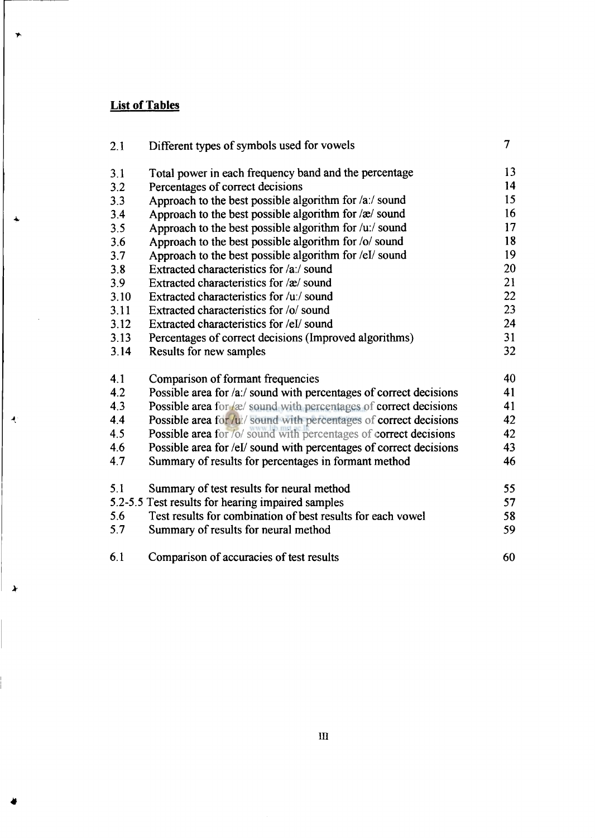# **List of Tables**

 $\rightarrow$ 

 $\ddot{\phantom{a}}$ 

 $\mathcal{A}$ 

 $\lambda$ 

l<br>I

*4* 

| 2.1  | Different types of symbols used for vowels                               | 7  |
|------|--------------------------------------------------------------------------|----|
| 3.1  | Total power in each frequency band and the percentage                    | 13 |
| 3.2  | Percentages of correct decisions                                         | 14 |
| 3.3  | Approach to the best possible algorithm for $\alpha$ :/ sound            | 15 |
| 3.4  | Approach to the best possible algorithm for $\alpha$ sound               | 16 |
| 3.5  | Approach to the best possible algorithm for $/u$ :/ sound                | 17 |
| 3.6  | Approach to the best possible algorithm for /o/ sound                    | 18 |
| 3.7  | Approach to the best possible algorithm for /eI/ sound                   | 19 |
| 3.8  | Extracted characteristics for /a:/ sound                                 | 20 |
| 3.9  | Extracted characteristics for /æ/ sound                                  | 21 |
| 3.10 | Extracted characteristics for /u:/ sound                                 | 22 |
| 3.11 | Extracted characteristics for /o/ sound                                  | 23 |
| 3.12 | Extracted characteristics for /eI/ sound                                 | 24 |
| 3.13 | Percentages of correct decisions (Improved algorithms)                   | 31 |
| 3.14 | Results for new samples                                                  | 32 |
| 4.1  | Comparison of formant frequencies                                        | 40 |
| 4.2  | Possible area for /a:/ sound with percentages of correct decisions       | 41 |
| 4.3  | <b>Possible area for /æ/ sound with percentages of correct decisions</b> | 41 |
| 4.4  | Possible area for /u:/ sound with percentages of correct decisions       | 42 |
| 4.5  | Possible area for /o/ sound with percentages of correct decisions        | 42 |
| 4.6  | Possible area for /el/ sound with percentages of correct decisions       | 43 |
| 4.7  | Summary of results for percentages in formant method                     | 46 |
| 5.1  | Summary of test results for neural method                                | 55 |
|      | 5.2-5.5 Test results for hearing impaired samples                        | 57 |
| 5.6  | Test results for combination of best results for each vowel              | 58 |
| 5.7  | Summary of results for neural method                                     | 59 |
| 6.1  | Comparison of accuracies of test results                                 | 60 |

m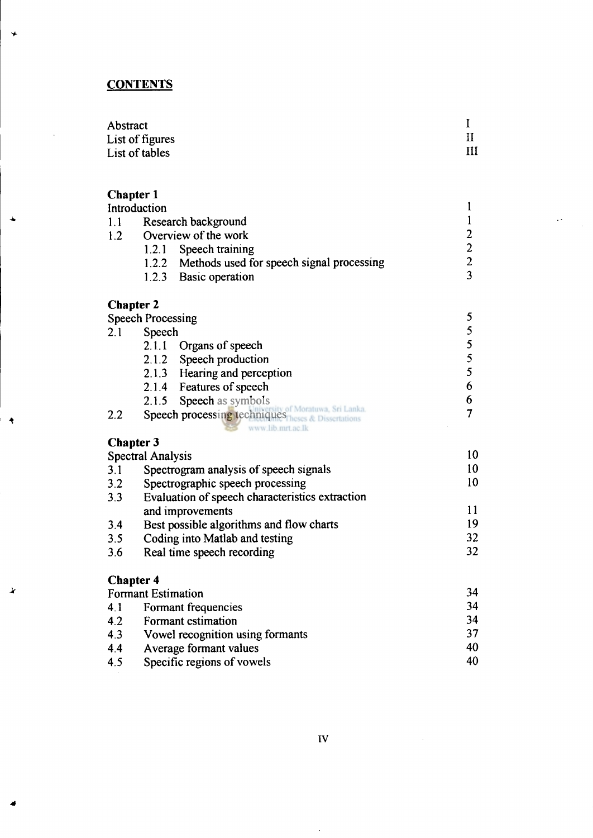# **CONTENTS**

 $\star$ 

۸

 $\ddot{\mathbf{r}}$ 

 $\mathbf{\lambda}$ 

| Abstract        |   |
|-----------------|---|
| List of figures |   |
| List of tables  | Ш |

 $\sim$   $\sim$ 

| <b>Chapter 1</b> |                                                                      |                                                 |  |
|------------------|----------------------------------------------------------------------|-------------------------------------------------|--|
|                  | Introduction                                                         | 1                                               |  |
| 1.1              | Research background                                                  | $\mathbf{1}$                                    |  |
| 1.2              | Overview of the work                                                 |                                                 |  |
|                  | 1.2.1<br>Speech training                                             |                                                 |  |
|                  | 1.2.2 Methods used for speech signal processing                      | $\begin{array}{c} 2 \\ 2 \\ 2 \\ 3 \end{array}$ |  |
|                  | 1.2.3 Basic operation                                                |                                                 |  |
| <b>Chapter 2</b> |                                                                      |                                                 |  |
|                  | <b>Speech Processing</b>                                             | 5                                               |  |
| 2.1              | Speech                                                               |                                                 |  |
|                  | 2.1.1<br>Organs of speech                                            |                                                 |  |
|                  | 2.1.2<br>Speech production                                           | $\begin{array}{c} 5 \\ 5 \\ 5 \\ 5 \end{array}$ |  |
|                  | 2.1.3 Hearing and perception                                         |                                                 |  |
|                  | 2.1.4 Features of speech                                             | 6                                               |  |
|                  | 2.1.5 Speech as symbols                                              | 6                                               |  |
| 2.2              | Speech processing techniques Moratuwa Sri Lanka<br>www.lib.mrt.ac.lk | 7                                               |  |
| <b>Chapter 3</b> |                                                                      |                                                 |  |
|                  | <b>Spectral Analysis</b>                                             | 10                                              |  |
| 3.1              | Spectrogram analysis of speech signals                               | 10                                              |  |
| 3.2              | Spectrographic speech processing                                     | 10                                              |  |
| 3.3              | Evaluation of speech characteristics extraction                      |                                                 |  |
|                  | and improvements                                                     | 11                                              |  |
| 3.4              | Best possible algorithms and flow charts                             | 19                                              |  |
| 3.5              | Coding into Matlab and testing                                       | 32                                              |  |
| 3.6              | Real time speech recording                                           | 32                                              |  |
| <b>Chapter 4</b> |                                                                      |                                                 |  |
|                  | <b>Formant Estimation</b>                                            | 34                                              |  |
| 4.1              | Formant frequencies                                                  | 34                                              |  |
| 4.2              | Formant estimation                                                   | 34                                              |  |
| 4.3              | Vowel recognition using formants                                     | 37                                              |  |
| 4.4              | Average formant values                                               | 40                                              |  |

4.5 Specific regions of vowels 40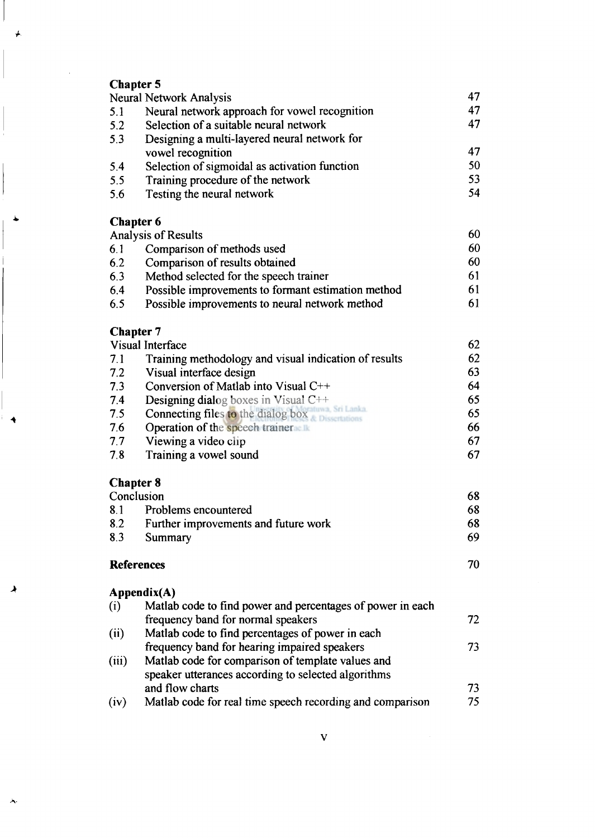# **Chapter 5**

**A'** 

▲

|       | <b>Neural Network Analysis</b>                             | 47 |
|-------|------------------------------------------------------------|----|
| 5.1   | Neural network approach for vowel recognition              | 47 |
| 5.2   | Selection of a suitable neural network                     | 47 |
| 5.3   | Designing a multi-layered neural network for               |    |
|       | vowel recognition                                          | 47 |
| 5.4   | Selection of sigmoidal as activation function              | 50 |
| 5.5   | Training procedure of the network                          | 53 |
| 5.6   | Testing the neural network                                 | 54 |
|       | <b>Chapter 6</b>                                           |    |
|       | <b>Analysis of Results</b>                                 | 60 |
| 6.1   | Comparison of methods used                                 | 60 |
| 6.2   | Comparison of results obtained                             | 60 |
| 6.3   | Method selected for the speech trainer                     | 61 |
| 6.4   | Possible improvements to formant estimation method         | 61 |
| 6.5   | Possible improvements to neural network method             | 61 |
|       | <b>Chapter 7</b>                                           |    |
|       | Visual Interface                                           | 62 |
| 7.1   | Training methodology and visual indication of results      | 62 |
| 7.2   | Visual interface design                                    | 63 |
| 7.3   | Conversion of Matlab into Visual C++                       | 64 |
| 7.4   | Designing dialog boxes in Visual C++                       | 65 |
| 7.5   | <b>Connecting files to the dialog box</b>                  | 65 |
| 7.6   | Operation of the speech trainer                            | 66 |
| 7.7   | Viewing a video clip                                       | 67 |
| 7.8   | Training a vowel sound                                     | 67 |
|       | <b>Chapter 8</b>                                           |    |
|       | Conclusion                                                 | 68 |
| 8.1   | Problems encountered                                       | 68 |
| 8.2   | Further improvements and future work                       | 68 |
| 8.3   | Summary                                                    | 69 |
|       | <b>References</b>                                          | 70 |
|       | Appendix(A)                                                |    |
| (i)   | Matlab code to find power and percentages of power in each |    |
|       | frequency band for normal speakers                         | 72 |
| (ii)  | Matlab code to find percentages of power in each           |    |
|       | frequency band for hearing impaired speakers               | 73 |
| (iii) | Matlab code for comparison of template values and          |    |
|       | speaker utterances according to selected algorithms        |    |
|       | and flow charts                                            | 73 |
| (iv)  | Matlab code for real time speech recording and comparison  | 75 |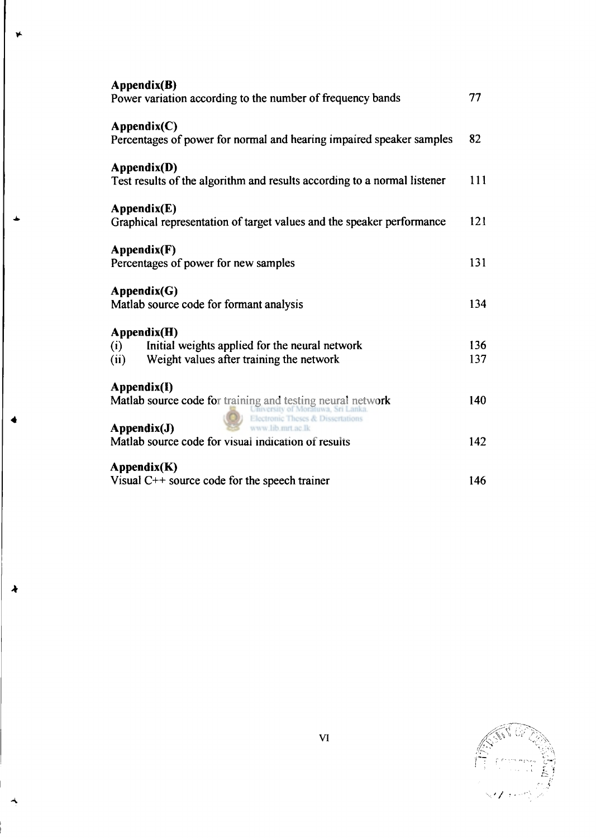| Appendix(B)<br>Power variation according to the number of frequency bands                                                              | 77         |
|----------------------------------------------------------------------------------------------------------------------------------------|------------|
| $\text{Appendix}(C)$<br>Percentages of power for normal and hearing impaired speaker samples                                           | 82         |
| Appendix(D)<br>Test results of the algorithm and results according to a normal listener                                                | 111        |
| $\text{Appendix}(E)$<br>Graphical representation of target values and the speaker performance                                          | 121        |
| Appendix(F)<br>Percentages of power for new samples                                                                                    | 131        |
| $\bf Appendix (G)$<br>Matlab source code for formant analysis                                                                          | 134        |
| Appendix(H)<br>Initial weights applied for the neural network<br>(i)<br>Weight values after training the network<br>(ii)               | 136<br>137 |
| Appendix(I)<br>Matlab source code for training and testing neural network<br>v of Moratuwa, Sri Lanka<br>tronic Theses & Dissertations | 140        |
| Appendix(J)<br>w.lib.mrt.ac.lk<br>Matlab source code for visual indication of results                                                  | 142        |
| $\Lambda$ ppendix(K)<br>Visual $C++$ source code for the speech trainer                                                                | 146        |

**4** 

*A.*